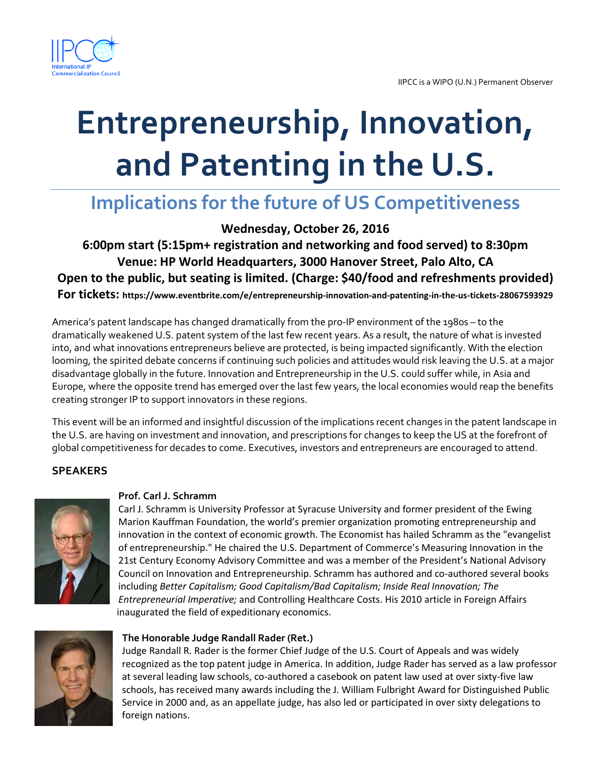

# **Entrepreneurship, Innovation, and Patenting in the U.S.**

# **Implications for the future of US Competitiveness**

**Wednesday, October 26, 2016** 

**6:00pm start (5:15pm+ registration and networking and food served) to 8:30pm Venue: HP World Headquarters, 3000 Hanover Street, Palo Alto, CA Open to the public, but seating is limited. (Charge: \$40/food and refreshments provided) For tickets: https://www.eventbrite.com/e/entrepreneurship-innovation-and-patenting-in-the-us-tickets-28067593929**

America's patent landscape has changed dramatically from the pro-IP environment of the 1980s – to the dramatically weakened U.S. patent system of the last few recent years. As a result, the nature of what is invested into, and what innovations entrepreneurs believe are protected, is being impacted significantly. With the election looming, the spirited debate concerns if continuing such policies and attitudes would risk leaving the U.S. at a major disadvantage globally in the future. Innovation and Entrepreneurship in the U.S. could suffer while, in Asia and Europe, where the opposite trend has emerged over the last few years, the local economies would reap the benefits creating stronger IP to support innovators in these regions.

This event will be an informed and insightful discussion of the implications recent changes in the patent landscape in the U.S. are having on investment and innovation, and prescriptions for changes to keep the US at the forefront of global competitiveness for decades to come. Executives, investors and entrepreneurs are encouraged to attend.

# **SPEAKERS**



# **Prof. Carl J. Schramm**

Carl J. Schramm is University Professor at Syracuse University and former president of the Ewing Marion Kauffman Foundation, the world's premier organization promoting entrepreneurship and innovation in the context of economic growth. The Economist has hailed Schramm as the "evangelist of entrepreneurship." He chaired the U.S. Department of Commerce's Measuring Innovation in the 21st Century Economy Advisory Committee and was a member of the President's National Advisory Council on Innovation and Entrepreneurship. Schramm has authored and co-authored several books including *Better Capitalism; Good Capitalism/Bad Capitalism; Inside Real Innovation; The Entrepreneurial Imperative;* and Controlling Healthcare Costs. His 2010 article in Foreign Affairs inaugurated the field of expeditionary economics.



# **The Honorable Judge Randall Rader (Ret.)**

Judge Randall R. Rader is the former Chief Judge of the U.S. Court of Appeals and was widely recognized as the top patent judge in America. In addition, Judge Rader has served as a law professor at several leading law schools, co-authored a casebook on patent law used at over sixty-five law schools, has received many awards including the J. William Fulbright Award for Distinguished Public Service in 2000 and, as an appellate judge, has also led or participated in over sixty delegations to foreign nations.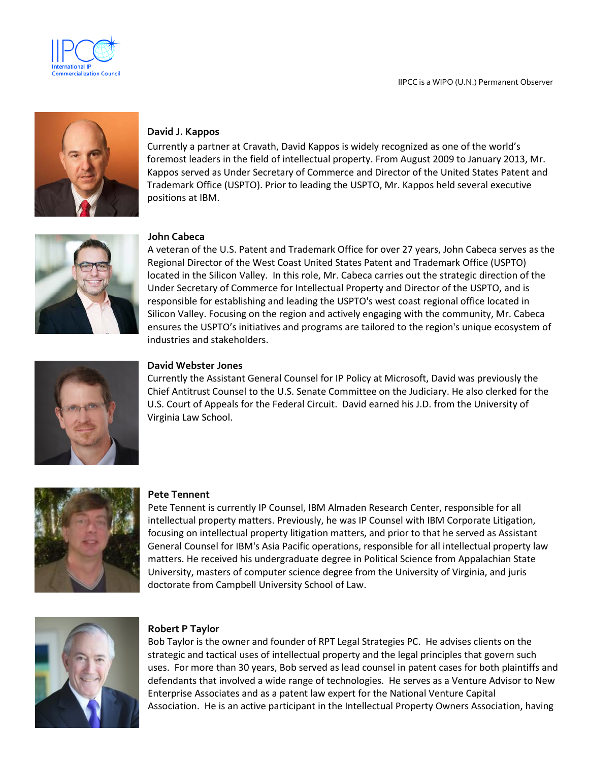



# **David J. Kappos**

Currently a partner at Cravath, David Kappos is widely recognized as one of the world's foremost leaders in the field of intellectual property. From August 2009 to January 2013, Mr. Kappos served as Under Secretary of Commerce and Director of the United States Patent and Trademark Office (USPTO). Prior to leading the USPTO, Mr. Kappos held several executive positions at IBM.



#### **John Cabeca**

A veteran of the U.S. Patent and Trademark Office for over 27 years, John Cabeca serves as the Regional Director of the West Coast United States Patent and Trademark Office (USPTO) located in the Silicon Valley. In this role, Mr. Cabeca carries out the strategic direction of the Under Secretary of Commerce for Intellectual Property and Director of the USPTO, and is responsible for establishing and leading the USPTO's west coast regional office located in Silicon Valley. Focusing on the region and actively engaging with the community, Mr. Cabeca ensures the USPTO's initiatives and programs are tailored to the region's unique ecosystem of industries and stakeholders.



#### **David Webster Jones**

Currently the Assistant General Counsel for IP Policy at Microsoft, David was previously the Chief Antitrust Counsel to the U.S. Senate Committee on the Judiciary. He also clerked for the U.S. Court of Appeals for the Federal Circuit. David earned his J.D. from the University of Virginia Law School.



#### **Pete Tennent**

Pete Tennent is currently IP Counsel, IBM Almaden Research Center, responsible for all intellectual property matters. Previously, he was IP Counsel with IBM Corporate Litigation, focusing on intellectual property litigation matters, and prior to that he served as Assistant General Counsel for IBM's Asia Pacific operations, responsible for all intellectual property law matters. He received his undergraduate degree in Political Science from Appalachian State University, masters of computer science degree from the University of Virginia, and juris doctorate from Campbell University School of Law.



# **Robert P Taylor**

Bob Taylor is the owner and founder of RPT Legal Strategies PC. He advises clients on the strategic and tactical uses of intellectual property and the legal principles that govern such uses. For more than 30 years, Bob served as lead counsel in patent cases for both plaintiffs and defendants that involved a wide range of technologies. He serves as a Venture Advisor to New Enterprise Associates and as a patent law expert for the National Venture Capital Association. He is an active participant in the Intellectual Property Owners Association, having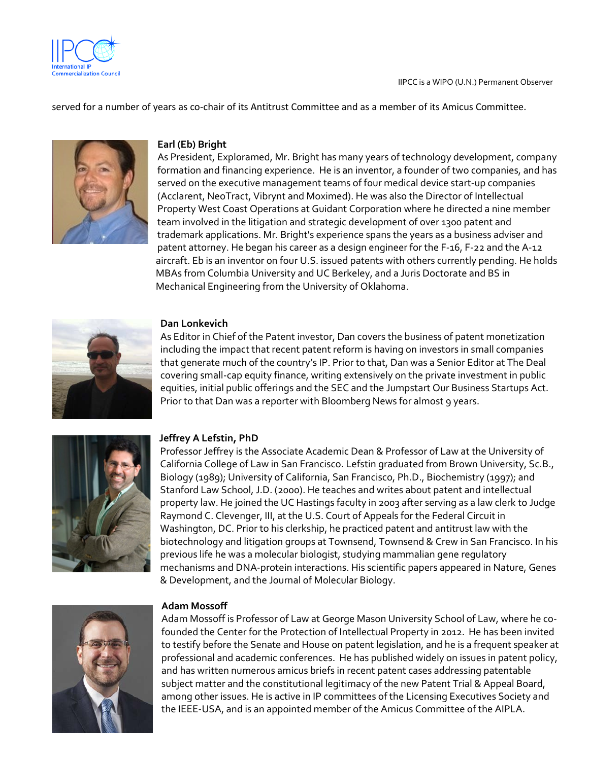

served for a number of years as co-chair of its Antitrust Committee and as a member of its Amicus Committee.



# **Earl (Eb) Bright**

As President, Exploramed, Mr. Bright has many years of technology development, company formation and financing experience. He is an inventor, a founder of two companies, and has served on the executive management teams of four medical device start-up companies (Acclarent, NeoTract, Vibrynt and Moximed). He was also the Director of Intellectual Property West Coast Operations at Guidant Corporation where he directed a nine member team involved in the litigation and strategic development of over 1300 patent and trademark applications. Mr. Bright's experience spans the years as a business adviser and patent attorney. He began his career as a design engineer for the F-16, F-22 and the A-12 aircraft. Eb is an inventor on four U.S. issued patents with others currently pending. He holds MBAs from Columbia University and UC Berkeley, and a Juris Doctorate and BS in Mechanical Engineering from the University of Oklahoma.



# **Dan Lonkevich**

As Editor in Chief of the Patent investor, Dan covers the business of patent monetization including the impact that recent patent reform is having on investors in small companies that generate much of the country's IP. Prior to that, Dan was a Senior Editor at The Deal covering small-cap equity finance, writing extensively on the private investment in public equities, initial public offerings and the SEC and the Jumpstart Our Business Startups Act. Prior to that Dan was a reporter with Bloomberg News for almost 9 years.



# **Jeffrey A Lefstin, PhD**

Professor Jeffrey is the Associate Academic Dean & Professor of Law at the University of California College of Law in San Francisco. Lefstin graduated from Brown University, Sc.B., Biology (1989); University of California, San Francisco, Ph.D., Biochemistry (1997); and Stanford Law School, J.D. (2000). He teaches and writes about patent and intellectual property law. He joined the UC Hastings faculty in 2003 after serving as a law clerk to Judge Raymond C. Clevenger, III, at the U.S. Court of Appeals for the Federal Circuit in Washington, DC. Prior to his clerkship, he practiced patent and antitrust law with the biotechnology and litigation groups at Townsend, Townsend & Crew in San Francisco. In his previous life he was a molecular biologist, studying mammalian gene regulatory mechanisms and DNA-protein interactions. His scientific papers appeared in Nature, Genes & Development, and the Journal of Molecular Biology.



# **Adam Mossoff**

Adam Mossoff is Professor of Law at George Mason University School of Law, where he cofounded the Center for the Protection of Intellectual Property in 2012. He has been invited to testify before the Senate and House on patent legislation, and he is a frequent speaker at professional and academic conferences. He has published widely on issues in patent policy, and has written numerous amicus briefs in recent patent cases addressing patentable subject matter and the constitutional legitimacy of the new Patent Trial & Appeal Board, among other issues. He is active in IP committees of the Licensing Executives Society and the IEEE-USA, and is an appointed member of the Amicus Committee of the AIPLA.